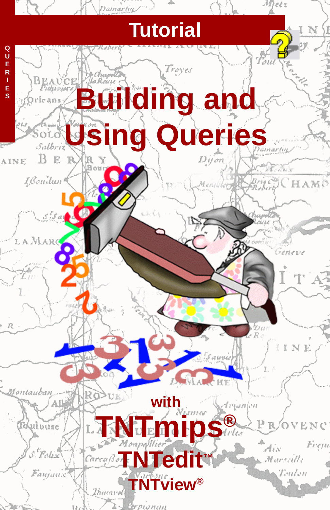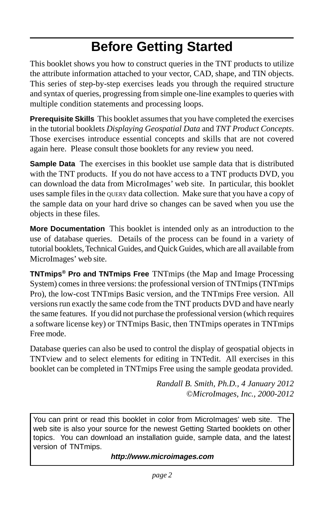## **Before Getting Started**

This booklet shows you how to construct queries in the TNT products to utilize the attribute information attached to your vector, CAD, shape, and TIN objects. This series of step-by-step exercises leads you through the required structure and syntax of queries, progressing from simple one-line examples to queries with multiple condition statements and processing loops.

**Prerequisite Skills** This booklet assumes that you have completed the exercises in the tutorial booklets *Displaying Geospatial Data* and *TNT Product Concepts*. Those exercises introduce essential concepts and skills that are not covered again here. Please consult those booklets for any review you need.

**Sample Data** The exercises in this booklet use sample data that is distributed with the TNT products. If you do not have access to a TNT products DVD, you can download the data from MicroImages' web site. In particular, this booklet uses sample files in the QUERY data collection. Make sure that you have a copy of the sample data on your hard drive so changes can be saved when you use the objects in these files.

**More Documentation** This booklet is intended only as an introduction to the use of database queries. Details of the process can be found in a variety of tutorial booklets, Technical Guides, and Quick Guides, which are all available from MicroImages' web site.

**TNTmips® Pro and TNTmips Free** TNTmips (the Map and Image Processing System) comes in three versions: the professional version of TNTmips (TNTmips Pro), the low-cost TNTmips Basic version, and the TNTmips Free version. All versions run exactly the same code from the TNT products DVD and have nearly the same features. If you did not purchase the professional version (which requires a software license key) or TNTmips Basic, then TNTmips operates in TNTmips Free mode.

Database queries can also be used to control the display of geospatial objects in TNTview and to select elements for editing in TNTedit. All exercises in this booklet can be completed in TNTmips Free using the sample geodata provided.

> *Randall B. Smith, Ph.D., 4 January 2012* ©*MicroImages, Inc., 2000-2012*

You can print or read this booklet in color from MicroImages' web site. The web site is also your source for the newest Getting Started booklets on other topics. You can download an installation guide, sample data, and the latest version of TNTmips.

**http://www.microimages.com**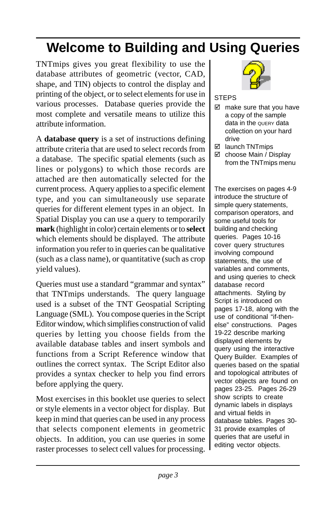## **Welcome to Building and Using Queries**

TNTmips gives you great flexibility to use the database attributes of geometric (vector, CAD, shape, and TIN) objects to control the display and printing of the object, or to select elements for use in various processes. Database queries provide the most complete and versatile means to utilize this attribute information.

A **database query** is a set of instructions defining attribute criteria that are used to select records from a database. The specific spatial elements (such as lines or polygons) to which those records are attached are then automatically selected for the current process. A query applies to a specific element type, and you can simultaneously use separate queries for different element types in an object. In Spatial Display you can use a query to temporarily **mark** (highlight in color) certain elements or to **select** which elements should be displayed. The attribute information you refer to in queries can be qualitative (such as a class name), or quantitative (such as crop yield values).

Queries must use a standard "grammar and syntax" that TNTmips understands. The query language used is a subset of the TNT Geospatial Scripting Language (SML). You compose queries in the Script Editor window, which simplifies construction of valid queries by letting you choose fields from the available database tables and insert symbols and functions from a Script Reference window that outlines the correct syntax. The Script Editor also provides a syntax checker to help you find errors before applying the query.

Most exercises in this booklet use queries to select or style elements in a vector object for display. But keep in mind that queries can be used in any process that selects component elements in geometric objects. In addition, you can use queries in some raster processes to select cell values for processing.



### **STEPS**

- $\boxtimes$  make sure that you have a copy of the sample data in the QUERY data collection on your hard drive
- □ launch TNTmips
- $\boxtimes$  choose Main / Display from the TNTmips menu

The exercises on pages 4-9 introduce the structure of simple query statements, comparison operators, and some useful tools for building and checking queries. Pages 10-16 cover query structures involving compound statements, the use of variables and comments, and using queries to check database record attachments. Styling by Script is introduced on pages 17-18, along with the use of conditional "if-thenelse" constructions. Pages 19-22 describe marking displayed elements by query using the interactive Query Builder. Examples of queries based on the spatial and topological attributes of vector objects are found on pages 23-25. Pages 26-29 show scripts to create dynamic labels in displays and virtual fields in database tables. Pages 30- 31 provide examples of queries that are useful in editing vector objects.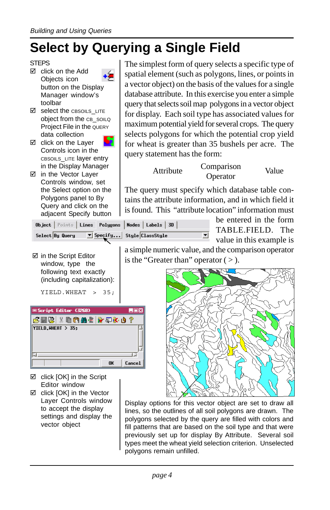## **Select by Querying a Single Field**

### **STEPS**

- $\boxtimes$  click on the Add Objects icon button on the Display Manager window's toolbar
- $\boxtimes$  select the CBSOILS\_LITE object from the CB\_SOILQ Project File in the QUERY data collection
- □ click on the Layer Controls icon in the CBSOILS\_LITE layer entry in the Display Manager
- □ in the Vector Layer Controls window, set the Select option on the Polygons panel to By Query and click on the adjacent Specify button

 $\boxtimes$  in the Script Editor window, type the following text exactly (including capitalization): The simplest form of query selects a specific type of spatial element (such as polygons, lines, or points in a vector object) on the basis of the values for a single database attribute. In this exercise you enter a simple query that selects soil map polygons in a vector object for display. Each soil type has associated values for maximum potential yield for several crops. The query selects polygons for which the potential crop yield for wheat is greater than 35 bushels per acre. The query statement has the form:

Attribute Comparison

Operator Value

The query must specify which database table contains the attribute information, and in which field it is found. This "attribute location" information must

|                 | Object   Points   Lines   Polygons   Nodes   Labels   3D |  |  |
|-----------------|----------------------------------------------------------|--|--|
| Select By Query | $\boxed{\blacktriangledown}$ Specify Style ClassStyle    |  |  |

be entered in the form TABLE.FIELD. The value in this example is

a simple numeric value, and the comparison operator is the "Greater than" operator  $($  >  $)$ .



- $\boxtimes$  click [OK] in the Script Editor window
- $\boxtimes$  click [OK] in the Vector Layer Controls window to accept the display settings and display the vector object

Display options for this vector object are set to draw all lines, so the outlines of all soil polygons are drawn. The polygons selected by the query are filled with colors and fill patterns that are based on the soil type and that were previously set up for display By Attribute. Several soil types meet the wheat yield selection criterion. Unselected polygons remain unfilled.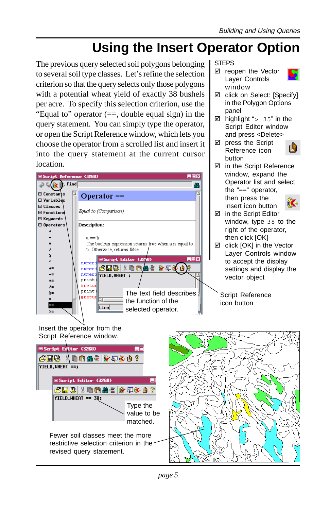## **Using the Insert Operator Option**

The previous query selected soil polygons belonging to several soil type classes. Let's refine the selection criterion so that the query selects only those polygons with a potential wheat yield of exactly 38 bushels per acre. To specify this selection criterion, use the "Equal to" operator (==, double equal sign) in the query statement. You can simply type the operator, or open the Script Reference window, which lets you choose the operator from a scrolled list and insert it into the query statement at the current cursor location.



STEPS

□ reopen the Vector Layer Controls window



- ⊠ click on Select: [Specify] in the Polygon Options panel
- $\boxtimes$  highlight "> 35" in the Script Editor window and press <Delete>
- $\boxtimes$  press the Script í, Reference icon button
- $\boxtimes$  in the Script Reference Operator list and select



- window, type 38 to the
- $\boxtimes$  click [OK] in the Vector Layer Controls window settings and display the



restrictive selection criterion in the

revised query statement.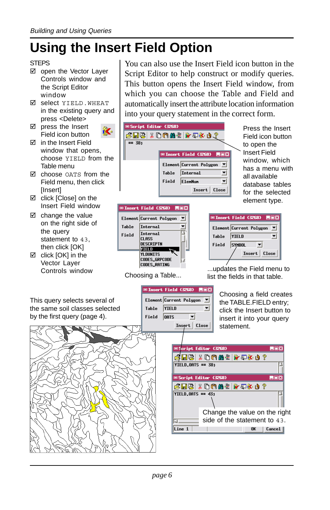## **Using the Insert Field Option**

### **STEPS**

- □ open the Vector Layer Controls window and the Script Editor window
- ; select YIELD.WHEAT in the existing query and press <Delete>
- $\boxtimes$  press the Insert Field icon button
- $\nabla$  in the Insert Field window that opens, Table menu
- $\boxtimes$  choose OATS from the Field menu, then click **[Insert]**
- $\boxtimes$  click [Close] on the Insert Field window
- $\boxtimes$  change the value on the right side of the query statement to 43. then click [OK]
- $\boxtimes$  click [OK] in the Vector Layer

You can also use the Insert Field icon button in the Script Editor to help construct or modify queries. This button opens the Insert Field window, from which you can choose the Table and Field and automatically insert the attribute location information into your query statement in the correct form.

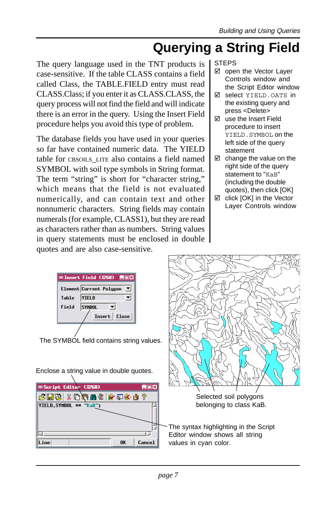### **Querying a String Field**

The query language used in the TNT products is case-sensitive. If the table CLASS contains a field called Class, the TABLE.FIELD entry must read CLASS.Class; if you enter it as CLASS.CLASS, the query process will not find the field and will indicate there is an error in the query. Using the Insert Field procedure helps you avoid this type of problem.

The database fields you have used in your queries so far have contained numeric data. The YIELD table for CBSOILS LITE also contains a field named SYMBOL with soil type symbols in String format. The term "string" is short for "character string," which means that the field is not evaluated numerically, and can contain text and other nonnumeric characters. String fields may contain numerals (for example, CLASS1), but they are read as characters rather than as numbers. String values in query statements must be enclosed in double quotes and are also case-sensitive.

### STEPS

- $\boxtimes$  open the Vector Layer Controls window and the Script Editor window
- select YIELD.OATS in the existing query and press <Delete>
- $\boxtimes$  use the Insert Field procedure to insert YIELD.SYMBOL on the left side of the query statement
- $\boxtimes$  change the value on the right side of the query statement to "KaB" (including the double quotes), then click [OK]
- $\boxtimes$  click [OK] in the Vector Layer Controls window

|                        | <b>□Insert Field (3268)</b>              | LIOX         |             |                                       |
|------------------------|------------------------------------------|--------------|-------------|---------------------------------------|
| Table                  | Element Current Polygon<br><b>YIELD</b>  | ᅬ            |             |                                       |
| Field                  | <b>SYMBOL</b>                            |              |             |                                       |
|                        |                                          | Insert Close |             |                                       |
|                        |                                          |              |             |                                       |
|                        |                                          |              |             |                                       |
|                        | The SYMBOL field contains string values. |              |             |                                       |
|                        |                                          |              |             |                                       |
|                        |                                          |              |             |                                       |
|                        |                                          |              |             |                                       |
|                        | Enclose a string value in double quotes. |              |             |                                       |
|                        |                                          |              |             |                                       |
| Script Editor (3268)   |                                          |              | <b>EDIX</b> |                                       |
|                        | 4 小本早餐 言語的付よ   街田さ                       |              |             | Selected soil polygons                |
| YIELD.SYMBOL == "KaB"; |                                          |              |             | belonging to class KaB.               |
|                        |                                          |              |             |                                       |
|                        |                                          |              |             |                                       |
| E.                     |                                          |              |             | The syntax highlighting in the Script |
|                        |                                          |              |             | Editor window shows all string        |
| Line                   |                                          | 0K           | Cancel      | values in cyan color.                 |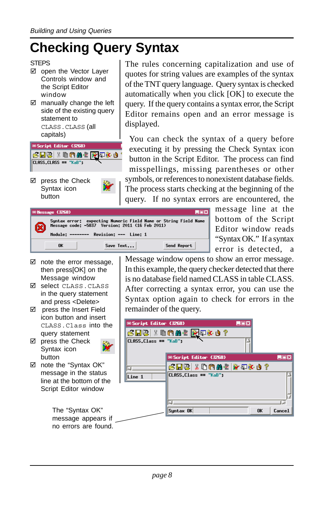## **Checking Query Syntax**

#### STEPS

- $\boxtimes$  open the Vector Layer Controls window and the Script Editor window
- $\boxtimes$  manually change the left side of the existing query statement to CLASS.CLASS (all capitals)



 $\boxtimes$  press the Check Syntax icon button

 $\boxtimes$  note the error message, then press[OK] on the Message window ; select CLASS.CLASS in the query statement and press <Delete>  $\boxtimes$  press the Insert Field icon button and insert CLASS. Class into th query statement  $\boxtimes$  press the Check Syntax icon



The rules concerning capitalization and use of quotes for string values are examples of the syntax of the TNT query language. Query syntax is checked automatically when you click [OK] to execute the query. If the query contains a syntax error, the Script Editor remains open and an error message is displayed.

You can check the syntax of a query before executing it by pressing the Check Syntax icon button in the Script Editor. The process can find misspellings, missing parentheses or other symbols, or references to nonexistent database fields. The process starts checking at the beginning of the query. If no syntax errors are encountered, the

| ■Message (3268) |                                                                                                                                                             |             |
|-----------------|-------------------------------------------------------------------------------------------------------------------------------------------------------------|-------------|
|                 | Syntax error: expecting Numeric Field Name or String Field Name<br>Message code: -5837 Version: 2011 (16 Feb 2011)<br>Module: ------- Revision: --- Line: 1 |             |
| <b>n</b>        | Save Text                                                                                                                                                   | Send Report |

message line at the bottom of the Script Editor window reads "Syntax OK." If a syntax error is detected, a

Message window opens to show an error message. In this example, the query checker detected that there is no database field named CLASS in table CLASS. After correcting a syntax error, you can use the Syntax option again to check for errors in the remainder of the query.

| o button and insert  |                         |                                          |              |
|----------------------|-------------------------|------------------------------------------|--------------|
| \SS.Class into the   | Script Editor (3268)    |                                          | LOX          |
| ry statement         |                         | <b>6 HB X DAA E <mark>M</mark>EX 0</b> ? |              |
| ss the Check         | $CLASS.Class == "KaB":$ |                                          |              |
| ıtax icon            |                         |                                          |              |
| :on                  |                         | Script Editor (3268)                     | <b>LOX</b>   |
| e the "Syntax OK"    |                         | 6 H B & D A A E   Y E Y O ?              |              |
| ssage in the status  | Line 1                  | CLASS.Class == "KaB";                    |              |
| at the bottom of the |                         |                                          |              |
| ipt Editor window    |                         |                                          |              |
|                      |                         |                                          |              |
| The "Syntax OK"      |                         | Syntax OK                                | Cancel<br>0K |
| message appears if   |                         |                                          |              |
|                      |                         |                                          |              |
| no errors are found. |                         |                                          |              |

button  $\boxtimes$  note the "Syntax OK" message in the status line at the bottom of the

Script Editor window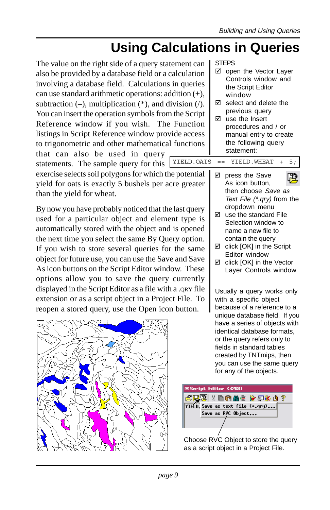## **Using Calculations in Queries**

The value on the right side of a query statement can also be provided by a database field or a calculation involving a database field. Calculations in queries can use standard arithmetic operations: addition (+), subtraction  $(-)$ , multiplication  $(*)$ , and division  $($ ). You can insert the operation symbols from the Script Reference window if you wish. The Function listings in Script Reference window provide access to trigonometric and other mathematical functions

that can also be used in query statements. The sample query for this

exercise selects soil polygons for which the potential yield for oats is exactly 5 bushels per acre greater than the yield for wheat.

By now you have probably noticed that the last query used for a particular object and element type is automatically stored with the object and is opened the next time you select the same By Query option. If you wish to store several queries for the same object for future use, you can use the Save and Save As icon buttons on the Script Editor window. These options allow you to save the query currently displayed in the Script Editor as a file with a .QRY file extension or as a script object in a Project File. To reopen a stored query, use the Open icon button.



#### STEPS

- $\boxtimes$  open the Vector Layer Controls window and the Script Editor window
- $\boxtimes$  select and delete the previous query
- $\boxtimes$  use the Insert procedures and / or manual entry to create the following query statement:

YIELD.OATS == YIELD.WHEAT + 5;

- $\boxtimes$  press the Save 吅 As icon button, then choose Save as Text File (\*.qry) from the
- dropdown menu  $\boxtimes$  use the standard File Selection window to name a new file to contain the query
- $\boxtimes$  click [OK] in the Script Editor window
- $\boxtimes$  click [OK] in the Vector Layer Controls window

Usually a query works only with a specific object because of a reference to a unique database field. If you have a series of objects with identical database formats, or the query refers only to fields in standard tables created by TNTmips, then you can use the same query for any of the objects.



Choose RVC Object to store the query as a script object in a Project File.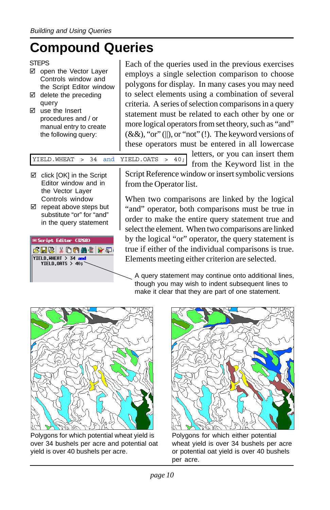## **Compound Queries**

- ⊠ open the Vector Layer Controls window and the Script Editor window
- $\boxtimes$  delete the preceding query
- $\boxtimes$  use the Insert procedures and / or manual entry to create the following query:

Each of the queries used in the previous exercises employs a single selection comparison to choose polygons for display. In many cases you may need to select elements using a combination of several criteria. A series of selection comparisons in a query statement must be related to each other by one or more logical operators from set theory, such as "and"  $(\&\&\,),$  "or" (||), or "not" (!). The keyword versions of these operators must be entered in all lowercase

YIELD.WHEAT > 34 and YIELD.OATS > 40;

- $\boxtimes$  click [OK] in the Script Editor window and in the Vector Layer Controls window
- $\boxtimes$  repeat above steps but substitute "or" for "and" in the query statement



from the Keyword list in the Script Reference window or insert symbolic versions from the Operator list.

letters, or you can insert them

When two comparisons are linked by the logical "and" operator, both comparisons must be true in order to make the entire query statement true and select the element. When two comparisons are linked by the logical "or" operator, the query statement is true if either of the individual comparisons is true. Elements meeting either criterion are selected.

A query statement may continue onto additional lines, though you may wish to indent subsequent lines to make it clear that they are part of one statement.



Polygons for which potential wheat yield is over 34 bushels per acre and potential oat yield is over 40 bushels per acre.



Polygons for which either potential wheat yield is over 34 bushels per acre or potential oat yield is over 40 bushels per acre.

STEPS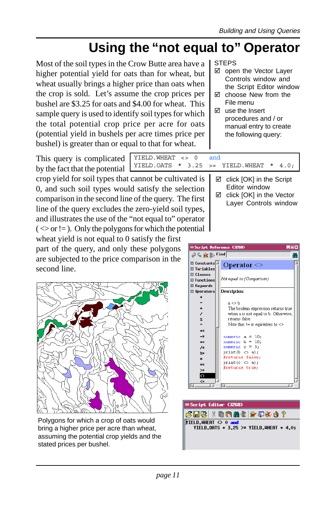## **Using the "not equal to" Operator**

Most of the soil types in the Crow Butte area have a higher potential yield for oats than for wheat, but wheat usually brings a higher price than oats when the crop is sold. Let's assume the crop prices per bushel are \$3.25 for oats and \$4.00 for wheat. This sample query is used to identify soil types for which the total potential crop price per acre for oats (potential yield in bushels per acre times price per bushel) is greater than or equal to that for wheat.

**STEPS** 

- ☑ open the Vector Layer Controls window and the Script Editor window
- $\boxtimes$  choose New from the File menu
- $\nabla$  use the Insert procedures and / or manual entry to create the following query:

This query is complicated by the fact that the potential

YIELD.WHEAT <> 0 and YIELD.OATS  $*$  3.25 >= YIELD.WHEAT  $*$  4.0;

crop yield for soil types that cannot be cultivated is 0, and such soil types would satisfy the selection comparison in the second line of the query. The first line of the query excludes the zero-yield soil types, and illustrates the use of the "not equal to" operator  $(<\infty$  or != ). Only the polygons for which the potential

wheat yield is not equal to 0 satisfy the first part of the query, and only these polygons are subjected to the price comparison in the second line.



Polygons for which a crop of oats would bring a higher price per acre than wheat, assuming the potential crop yields and the stated prices per bushel.

| LOX<br><b>□Script Reference (3268)</b> |                                       |  |  |  |  |
|----------------------------------------|---------------------------------------|--|--|--|--|
| D © ik k Find<br>m                     |                                       |  |  |  |  |
| E Constants                            | Operator $\leq$                       |  |  |  |  |
| Fl Variables                           |                                       |  |  |  |  |
| <b>El</b> Classes                      |                                       |  |  |  |  |
| E Functions                            | Not equal to (Comparison)             |  |  |  |  |
| El Keywords                            |                                       |  |  |  |  |
| $\boxminus$ Operators                  | <b>Description:</b>                   |  |  |  |  |
|                                        |                                       |  |  |  |  |
|                                        | a < b                                 |  |  |  |  |
|                                        | The boolean expression returns true   |  |  |  |  |
| 7                                      | when a is not equal to b. Otherwise,  |  |  |  |  |
| $\mathbf{z}$                           | returns false.                        |  |  |  |  |
| $\overline{a}$                         | Note that $ =$ is equivalent to $\le$ |  |  |  |  |
| $+ =$                                  |                                       |  |  |  |  |
| --                                     | numeric $a = 10$ ;                    |  |  |  |  |
| ¥=                                     | $numeric b = 10$ ;                    |  |  |  |  |
| $\prime$ =                             | numeric $c = 5$ :                     |  |  |  |  |
| $z =$                                  | $print(b \Leftrightarrow a)$ :        |  |  |  |  |
| $\equiv$                               | #returns false;                       |  |  |  |  |
| ==                                     | print $(c \Leftrightarrow a)$ ;       |  |  |  |  |
| $>=$                                   | #returns true;                        |  |  |  |  |
| $\Diamond$                             |                                       |  |  |  |  |
| $\leq$                                 | v                                     |  |  |  |  |
|                                        | 71                                    |  |  |  |  |



- $\boxtimes$  click [OK] in the Script Editor window
	- $\boxtimes$  click [OK] in the Vector Layer Controls window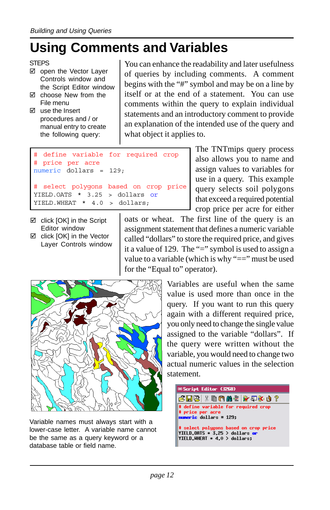### **Using Comments and Variables**

```
STEPS
```
- ⊠ open the Vector Layer Controls window and the Script Editor window
- $\boxtimes$  choose New from the File menu
- $\nabla$  use the Insert procedures and / or manual entry to create the following query:

You can enhance the readability and later usefulness of queries by including comments. A comment begins with the "#" symbol and may be on a line by itself or at the end of a statement. You can use comments within the query to explain individual statements and an introductory comment to provide an explanation of the intended use of the query and what object it applies to.

```
define variable for required crop
# price per acre
numeric dollars = 129;
# select polygons based on crop price
YIELD.OATS * 3.25 > dollars or
YIELD.WHEAT * 4.0 > dollars;
```
- $\boxtimes$  click [OK] in the Script Editor window
- $\boxtimes$  click [OK] in the Vector Layer Controls window

assign values to variables for use in a query. This example query selects soil polygons that exceed a required potential crop price per acre for either oats or wheat. The first line of the query is an

The TNTmips query process also allows you to name and

assignment statement that defines a numeric variable called "dollars" to store the required price, and gives it a value of 129. The "=" symbol is used to assign a value to a variable (which is why "==" must be used for the "Equal to" operator).



Variable names must always start with a lower-case letter. A variable name cannot be the same as a query keyword or a database table or field name.

Variables are useful when the same value is used more than once in the query. If you want to run this query again with a different required price, you only need to change the single value assigned to the variable "dollars". If the query were written without the variable, you would need to change two actual numeric values in the selection statement.

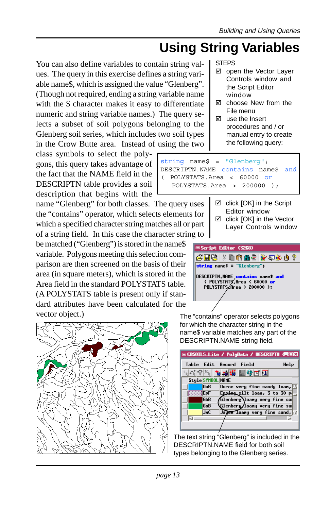## **Using String Variables**

You can also define variables to contain string values. The query in this exercise defines a string variable name\$, which is assigned the value "Glenberg". (Though not required, ending a string variable name with the \$ character makes it easy to differentiate numeric and string variable names.) The query selects a subset of soil polygons belonging to the Glenberg soil series, which includes two soil types in the Crow Butte area. Instead of using the two

class symbols to select the polygons, this query takes advantage of the fact that the NAME field in the DESCRIPTN table provides a soil description that begins with the

name "Glenberg" for both classes. The query uses the "contains" operator, which selects elements for which a specified character string matches all or part of a string field. In this case the character string to

be matched ("Glenberg") is stored in the name\$ variable. Polygons meeting this selection comparison are then screened on the basis of their area (in square meters), which is stored in the Area field in the standard POLYSTATS table. (A POLYSTATS table is present only if standard attributes have been calculated for the vector object.)



STEPS

- $\boxtimes$  open the Vector Layer Controls window and the Script Editor window
- $\boxtimes$  choose New from the File menu
- $\boxtimes$  use the Insert procedures and / or manual entry to create the following query:

string name\$ = "Glenberg"; DESCRIPTN.NAME contains name\$ and ( POLYSTATS.Area < 60000 or POLYSTATS.Area > 200000 );

- $\boxtimes$  click [OK] in the Script Editor window
- $\boxtimes$  click [OK] in the Vector Layer Controls window



The "contains" operator selects polygons for which the character string in the name\$ variable matches any part of the DESCRIPTN.NAME string field.

|                   | □ CBSOTLS_Lite / PolyData / DESCRIPTN (雪画図 |
|-------------------|--------------------------------------------|
|                   | Table Edit Record Field<br>Help            |
|                   |                                            |
| Style SYMBOL NAME |                                            |
| <b>DuR</b>        | Duroc very fine sandy loan, $\Box$         |
| <b>IE</b> PF      | Epping silt loan, 3 to 30 po               |
| <b>GbB</b>        | Glenberg\loany very fine sam               |
| GoB               | Glenberg/loany very fine sam               |
| <b>JnC</b>        | Jayen loany very fine sand,                |
|                   |                                            |
|                   |                                            |
|                   |                                            |

The text string "Glenberg" is included in the DESCRIPTN.NAME field for both soil types belonging to the Glenberg series.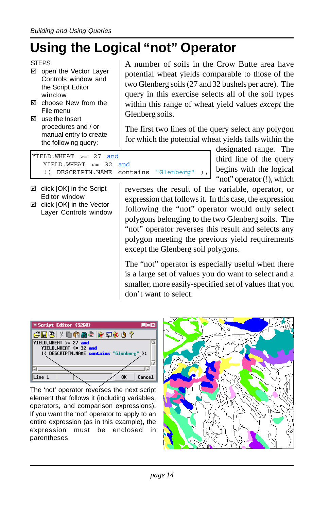## **Using the Logical "not" Operator**

- ⊠ open the Vector Layer Controls window and the Script Editor window
- $\boxtimes$  choose New from the File menu
- $\boxtimes$  use the Insert procedures and / or manual entry to create the following query:

A number of soils in the Crow Butte area have potential wheat yields comparable to those of the two Glenberg soils (27 and 32 bushels per acre). The query in this exercise selects all of the soil types within this range of wheat yield values *except* the Glenberg soils.

The first two lines of the query select any polygon for which the potential wheat yields falls within the

|                                        |  | designated range. The                     |
|----------------------------------------|--|-------------------------------------------|
| $YIELD.WHERT \ge 27 and$               |  | third line of the query                   |
| YIELD. WHEAT $\leq$ 32 and             |  |                                           |
| ! ( DESCRIPTN.NAME contains "Glenberg" |  | $\left\{\right\}$ begins with the logical |
|                                        |  |                                           |

- $\boxtimes$  click [OK] in the Script Editor window
- $\boxtimes$  click [OK] in the Vector Layer Controls window

"not" operator (!), which reverses the result of the variable, operator, or expression that follows it. In this case, the expression following the "not" operator would only select polygons belonging to the two Glenberg soils. The "not" operator reverses this result and selects any polygon meeting the previous yield requirements except the Glenberg soil polygons.

The "not" operator is especially useful when there is a large set of values you do want to select and a smaller, more easily-specified set of values that you don't want to select.



The 'not' operator reverses the next script element that follows it (including variables, operators, and comparison expressions). If you want the 'not' operator to apply to an entire expression (as in this example), the expression must be enclosed in parentheses.



**STEPS**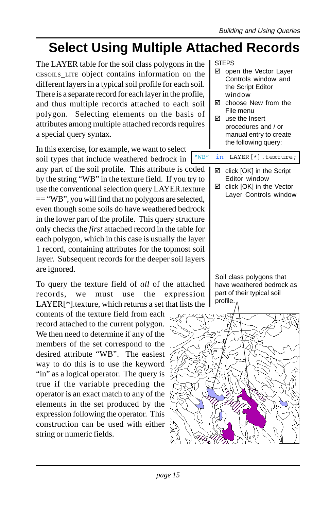## **Select Using Multiple Attached Records**

The LAYER table for the soil class polygons in the CBSOILS\_LITE object contains information on the different layers in a typical soil profile for each soil. There is a separate record for each layer in the profile, and thus multiple records attached to each soil polygon. Selecting elements on the basis of attributes among multiple attached records requires a special query syntax.

In this exercise, for example, we want to select soil types that include weathered bedrock in

any part of the soil profile. This attribute is coded by the string "WB" in the texture field. If you try to use the conventional selection query LAYER.texture == "WB", you will find that no polygons are selected, even though some soils do have weathered bedrock in the lower part of the profile. This query structure only checks the *first* attached record in the table for each polygon, which in this case is usually the layer 1 record, containing attributes for the topmost soil layer. Subsequent records for the deeper soil layers are ignored.

To query the texture field of *all* of the attached records, we must use the expression LAYER[\*].texture, which returns a set that lists the

contents of the texture field from each record attached to the current polygon. We then need to determine if any of the members of the set correspond to the desired attribute "WB". The easiest way to do this is to use the keyword "in" as a logical operator. The query is true if the variable preceding the operator is an exact match to any of the elements in the set produced by the expression following the operator. This construction can be used with either string or numeric fields.

STEPS

- $\boxtimes$  open the Vector Layer Controls window and the Script Editor window
- $\boxtimes$  choose New from the File menu
- $\boxtimes$  use the Insert procedures and / or manual entry to create the following query:

"WB" in LAYER[\*].texture;

- $\boxtimes$  click [OK] in the Script Editor window
- $\boxtimes$  click [OK] in the Vector Layer Controls window

Soil class polygons that have weathered bedrock as part of their typical soil profile.

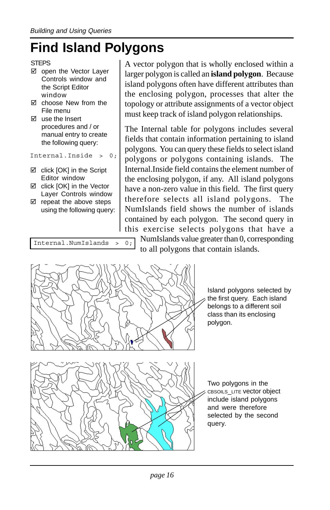## **Find Island Polygons**

- $\boxtimes$  open the Vector Laver Controls window and the Script Editor window
- $\boxtimes$  choose New from the File menu
- $\boxtimes$  use the Insert procedures and / or manual entry to create the following query:

Internal.Inside > 0;

- $\boxtimes$  click [OK] in the Script Editor window
- $\boxtimes$  click [OK] in the Vector Layer Controls window
- $\boxtimes$  repeat the above steps using the following query:

```
Internal.NumIslands > 0;
```
A vector polygon that is wholly enclosed within a larger polygon is called an **island polygon**. Because island polygons often have different attributes than the enclosing polygon, processes that alter the topology or attribute assignments of a vector object must keep track of island polygon relationships.

The Internal table for polygons includes several fields that contain information pertaining to island polygons. You can query these fields to select island polygons or polygons containing islands. The Internal.Inside field contains the element number of the enclosing polygon, if any. All island polygons have a non-zero value in this field. The first query therefore selects all island polygons. The NumIslands field shows the number of islands contained by each polygon. The second query in this exercise selects polygons that have a NumIslands value greater than 0, corresponding to all polygons that contain islands.



Island polygons selected by the first query. Each island belongs to a different soil class than its enclosing polygon.

Two polygons in the CBSOILS\_LITE vector object include island polygons and were therefore selected by the second query.

**STEPS**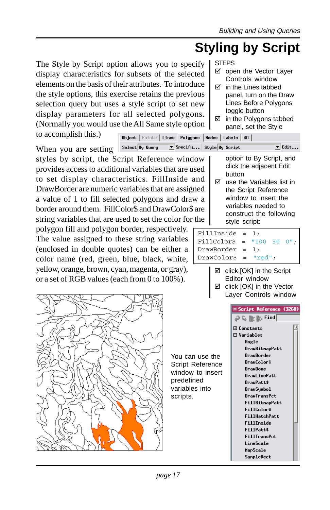## **Styling by Script**

☑ open the Vector Layer Controls window  $\nabla$  in the Lines tabbed panel, turn on the Draw Lines Before Polygons toggle button

The Style by Script option allows you to specify display characteristics for subsets of the selected elements on the basis of their attributes. To introduce the style options, this exercise retains the previous selection query but uses a style script to set new display parameters for all selected (Normally you would use the All Same to accomplish this.)

Object | Points | L

Select By Query | | Specify... Style By Script When you are setting styles by script, the Script Reference window provides access to additional variables that are used to set display characteristics. FillInside and DrawBorder are numeric variables that are assigned a value of 1 to fill selected polygons and draw a border around them. FillColor\$ and DrawColor\$ are string variables that are used to set the color for the

polygon fill and polygon border, respectively. The value assigned to these string variables (enclosed in double quotes) can be either a color name (red, green, blue, black, white, yellow, orange, brown, cyan, magenta, or gray), or a set of RGB values (each from 0 to 100%).



| style option $\begin{bmatrix} \Box & \Box & \Box \\ \Box & \Box & \Box \\ \Box & \Box & \Box \\ \Box & \Box & \Box \end{bmatrix}$ set the Style |                                     |  |  |
|-------------------------------------------------------------------------------------------------------------------------------------------------|-------------------------------------|--|--|
|                                                                                                                                                 | ines Polygons   Nodes   Labels   3D |  |  |

STEPS

option to By Script, and click the adjacent Edit button

 $\overline{\mathbf{y}}$  Edit...

 $\boxtimes$  use the Variables list in the Script Reference window to insert the variables needed to construct the following style script:

### FillInside = 1; FillColor\$ = "100 50 0"; DrawBorder = 1;  $DrawColor$ \$ = " $red"$ ;

 $\boxtimes$  click [OK] in the Script Editor window  $\boxtimes$  click [OK] in the Vector

Layer Controls window

You can use the Script Reference window to insert predefined variables into scripts.

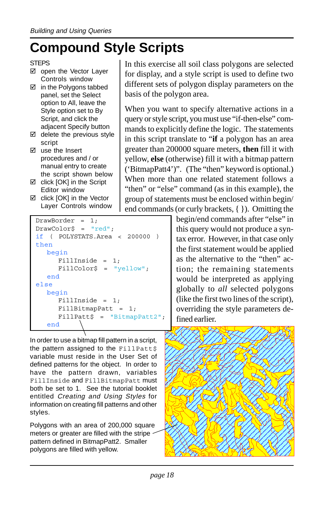## **Compound Style Scripts**

- ⊠ open the Vector Layer Controls window
- $\boxtimes$  in the Polygons tabbed panel, set the Select option to All, leave the Style option set to By Script, and click the adjacent Specify button
- $\boxtimes$  delete the previous style script
- $\boxtimes$  use the Insert procedures and / or manual entry to create the script shown below
- $\boxtimes$  click [OK] in the Script Editor window
- $\boxtimes$  click [OK] in the Vector Layer Controls window

```
DrawBorder = 1;
DrawColor$ = "red";
if ( POLYSTATS.Area < 200000 )
then
  begin
     FillInside = 1;
     FillColor$ = "yellow";
  end
else
  begin
     FillInside = 1;
     FillBitmapPatt = 1;
     FillPatt$ = "BitmapPatt2";
   end
```
In order to use a bitmap fill pattern in a script, the pattern assigned to the FillPatt\$ variable must reside in the User Set of defined patterns for the object. In order to have the pattern drawn, variables FillInside and FillBitmapPatt must both be set to 1. See the tutorial booklet entitled Creating and Using Styles for information on creating fill patterns and other styles.

Polygons with an area of 200,000 square meters or greater are filled with the stripe pattern defined in BitmapPatt2. Smaller polygons are filled with yellow.

In this exercise all soil class polygons are selected for display, and a style script is used to define two different sets of polygon display parameters on the basis of the polygon area.

When you want to specify alternative actions in a query or style script, you must use "if-then-else" commands to explicitly define the logic. The statements in this script translate to "**if** a polygon has an area greater than 200000 square meters, **then** fill it with yellow, **else** (otherwise) fill it with a bitmap pattern ('BitmapPatt4')". (The "then" keyword is optional.) When more than one related statement follows a "then" or "else" command (as in this example), the group of statements must be enclosed within begin/ end commands (or curly brackets, { }). Omitting the

begin/end commands after "else" in this query would not produce a syntax error. However, in that case only the first statement would be applied as the alternative to the "then" action; the remaining statements would be interpreted as applying globally to *all* selected polygons (like the first two lines of the script), overriding the style parameters defined earlier.



**STEPS**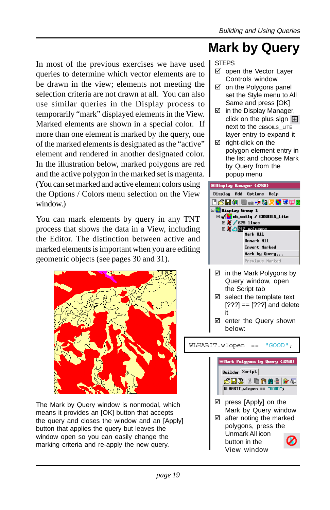### **Mark by Query**

In most of the previous exercises we have used queries to determine which vector elements are to be drawn in the view; elements not meeting the selection criteria are not drawn at all. You can also use similar queries in the Display process to temporarily "mark" displayed elements in the View. Marked elements are shown in a special color. If more than one element is marked by the query, one of the marked elements is designated as the "active" element and rendered in another designated color. In the illustration below, marked polygons are red and the active polygon in the marked set is magenta. (You can set marked and active element colors using the Options / Colors menu selection on the View window.)

You can mark elements by query in any TNT process that shows the data in a View, including the Editor. The distinction between active and marked elements is important when you are editing geometric objects (see pages 30 and 31).



The Mark by Query window is nonmodal, which means it provides an [OK] button that accepts the query and closes the window and an [Apply] button that applies the query but leaves the window open so you can easily change the marking criteria and re-apply the new query.

### STEPS

- $\boxtimes$  open the Vector Laver Controls window
- $\boxtimes$  on the Polygons panel set the Style menu to All Same and press [OK]
- $\boxtimes$  in the Display Manager, click on the plus sign  $H$ next to the CBSOILS LITE layer entry to expand it
- $\boxtimes$  right-click on the polygon element entry in the list and choose Mark by Query from the popup menu



- $\boxtimes$  in the Mark Polygons by Query window, open the Script tab
- $\boxtimes$  select the template text [???] == [???] and delete it
- $\boxtimes$  enter the Query shown below:

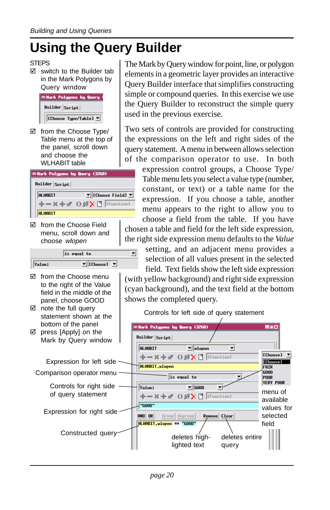# **Using the Query Builder**

### **STEPS**

 $\boxtimes$  switch to the Builder tab in the Mark Polygons by Query window



 $\boxtimes$  from the Choose Type/ Table menu at the top of the panel, scroll down and choose the WLHABIT table



□ from the Choose Field menu, scroll down and choose wlopen



 $\overline{\mathbf{v}}$ 

- $\boxtimes$  from the Choose menu to the right of the Value field in the middle of the panel, choose GOOD
- $\boxtimes$  note the full query statement shown at the bottom of the panel
- $\boxtimes$  press [Apply] on the Mark by Query window



Mark Polygons by Query (3268)

Builder Script

The Mark by Query window for point, line, or polygon elements in a geometric layer provides an interactive Query Builder interface that simplifies constructing simple or compound queries. In this exercise we use the Query Builder to reconstruct the simple query used in the previous exercise.

Two sets of controls are provided for constructing the expressions on the left and right sides of the query statement. A menu in between allows selection of the comparison operator to use. In both

expression control groups, a Choose Type/ Table menu lets you select a value type (number, constant, or text) or a table name for the expression. If you choose a table, another menu appears to the right to allow you to choose a field from the table. If you have chosen a table and field for the left side expression, the right side expression menu defaults to the *Value*

setting, and an adjacent menu provides a selection of all values present in the selected field. Text fields show the left side expression

LOX

(with yellow background) and right side expression (cyan background), and the text field at the bottom shows the completed query.

Controls for left side of query statement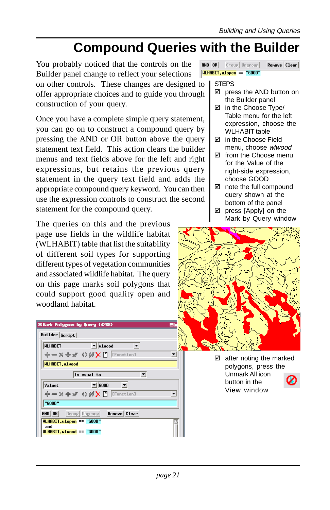### **Compound Queries with the Builder**

You probably noticed that the controls on the Builder panel change to reflect your selections on other controls. These changes are designed to offer appropriate choices and to guide you through construction of your query.

Once you have a complete simple query statement, you can go on to construct a compound query by pressing the AND or OR button above the query statement text field. This action clears the builder menus and text fields above for the left and right expressions, but retains the previous query statement in the query text field and adds the appropriate compound query keyword. You can then use the expression controls to construct the second statement for the compound query.

The queries on this and the previous page use fields in the wildlife habitat (WLHABIT) table that list the suitability of different soil types for supporting different types of vegetation communities and associated wildlife habitat. The query on this page marks soil polygons that could support good quality open and woodland habitat.

| Builder Script                         |                                                           |  |
|----------------------------------------|-----------------------------------------------------------|--|
| <b>HLHABIT</b>                         | $\mathbf{v}$<br>$\mathbf{v}$ uluood                       |  |
|                                        | $+-\times+_{\mathcal{N}}$ () $\mathcal{B}$ X [ [Function] |  |
| <b>HLHABIT, wlwood</b>                 |                                                           |  |
|                                        | $\blacktriangledown$<br>is equal to                       |  |
| Value:                                 | $\mathbf{v}$<br>$\mathbf{v}$ GOOD                         |  |
|                                        | ←ー×÷ ◇ Ø X □ [Function]                                   |  |
| "COOD"                                 |                                                           |  |
| and or                                 | Group Ungroup<br>Renove Clear                             |  |
| <b>WLHABIT.wlopen == "GOOD"</b><br>and |                                                           |  |
|                                        | <b>WLHABIT.wlwood == "GOOD"</b>                           |  |

 $R = 10R$ Group Ungroup Renove Clear **WLHABIT.wlopen == "GOOD"** 

### **STEPS**

- $\boxtimes$  press the AND button on the Builder panel
- $\boxtimes$  in the Choose Type/ Table menu for the left expression, choose the WLHABIT table
- □ in the Choose Field menu, choose wlwood
- $\boxtimes$  from the Choose menu for the Value of the right-side expression, choose GOOD
- $\boxtimes$  note the full compound query shown at the bottom of the panel
- $\boxtimes$  press [Apply] on the Mark by Query window



 $\boxtimes$  after noting the marked polygons, press the Unmark All icon button in the View window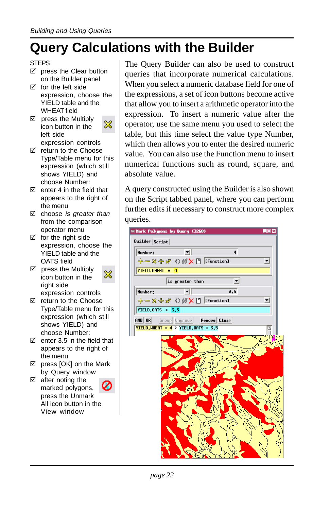## **Query Calculations with the Builder**

### **STEPS**

- $\boxtimes$  press the Clear button on the Builder panel
- $\nabla$  for the left side expression, choose the YIELD table and the WHEAT field
- $\boxtimes$  press the Multiply ※ icon button in the left side
- expression controls  $\boxtimes$  return to the Choose Type/Table menu for this expression (which still shows YIELD) and
- choose Number:  $\boxtimes$  enter 4 in the field that appears to the right of the menu
- $\boxtimes$  choose is greater than from the comparison operator menu
- $\boxtimes$  for the right side expression, choose the YIELD table and the OATS field
- $\boxtimes$  press the Multiply x icon button in the right side expression controls
- $\boxtimes$  return to the Choose Type/Table menu for this expression (which still shows YIELD) and choose Number:
- $\overline{M}$  enter 3.5 in the field that appears to the right of the menu
- $\boxtimes$  press [OK] on the Mark by Query window
- $\boxtimes$  after noting the marked polygons, press the Unmark All icon button in the View window

The Query Builder can also be used to construct queries that incorporate numerical calculations. When you select a numeric database field for one of the expressions, a set of icon buttons become active that allow you to insert a arithmetic operator into the expression. To insert a numeric value after the operator, use the same menu you used to select the table, but this time select the value type Number, which then allows you to enter the desired numeric value. You can also use the Function menu to insert numerical functions such as round, square, and absolute value.

A query constructed using the Builder is also shown on the Script tabbed panel, where you can perform further edits if necessary to construct more complex queries.

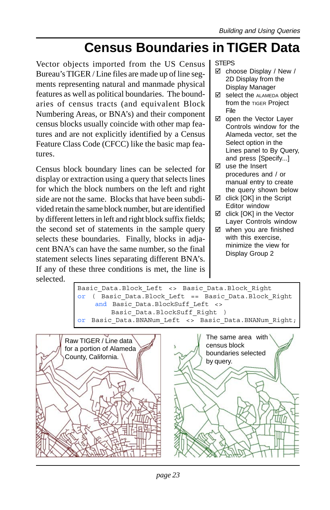### **Census Boundaries in TIGER Data**

Vector objects imported from the US Census Bureau's TIGER / Line files are made up of line segments representing natural and manmade physical features as well as political boundaries. The boundaries of census tracts (and equivalent Block Numbering Areas, or BNA's) and their component census blocks usually coincide with other map features and are not explicitly identified by a Census Feature Class Code (CFCC) like the basic map features.

Census block boundary lines can be selected for display or extraction using a query that selects lines for which the block numbers on the left and right side are not the same. Blocks that have been subdivided retain the same block number, but are identified by different letters in left and right block suffix fields; the second set of statements in the sample query selects these boundaries. Finally, blocks in adjacent BNA's can have the same number, so the final statement selects lines separating different BNA's. If any of these three conditions is met, the line is selected.

STEPS

- $\boxtimes$  choose Display / New / 2D Display from the Display Manager
- $\boxtimes$  select the ALAMEDA object from the TIGER Project File
- □ open the Vector Layer Controls window for the Alameda vector, set the Select option in the Lines panel to By Query, and press [Specify...]
- $\boxtimes$  use the Insert procedures and / or manual entry to create the query shown below
- $\boxtimes$  click [OK] in the Script Editor window
- □ click [OK] in the Vector Layer Controls window
- $\boxtimes$  when you are finished with this exercise, minimize the view for Display Group 2

Basic Data.Block Left <> Basic Data.Block Right or ( Basic\_Data.Block\_Left == Basic\_Data.Block\_Right and Basic Data.BlockSuff Left <> Basic Data.BlockSuff Right ) or Basic Data.BNANum Left <> Basic Data.BNANum Right;

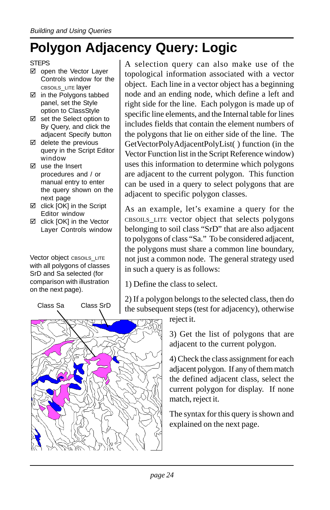## **Polygon Adjacency Query: Logic**

### **STEPS**

- $\boxtimes$  open the Vector Laver Controls window for the CBSOILS\_LITE layer
- $\boxtimes$  in the Polygons tabbed panel, set the Style option to ClassStyle
- $\boxtimes$  set the Select option to By Query, and click the adjacent Specify button
- $\boxtimes$  delete the previous query in the Script Editor window
- $\boxtimes$  use the Insert procedures and / or manual entry to enter the query shown on the next page
- $\boxtimes$  click [OK] in the Script Editor window
- □ click [OK] in the Vector Layer Controls window

Vector object CBSOILS\_LITE with all polygons of classes SrD and Sa selected (for comparison with illustration on the next page).



A selection query can also make use of the topological information associated with a vector object. Each line in a vector object has a beginning node and an ending node, which define a left and right side for the line. Each polygon is made up of specific line elements, and the Internal table for lines includes fields that contain the element numbers of the polygons that lie on either side of the line. The GetVectorPolyAdjacentPolyList( ) function (in the Vector Function list in the Script Reference window) uses this information to determine which polygons are adjacent to the current polygon. This function can be used in a query to select polygons that are adjacent to specific polygon classes.

As an example, let's examine a query for the CBSOILS\_LITE vector object that selects polygons belonging to soil class "SrD" that are also adjacent to polygons of class "Sa." To be considered adjacent, the polygons must share a common line boundary, not just a common node. The general strategy used in such a query is as follows:

1) Define the class to select.

2) If a polygon belongs to the selected class, then do the subsequent steps (test for adjacency), otherwise

reject it.

3) Get the list of polygons that are adjacent to the current polygon.

4) Check the class assignment for each adjacent polygon. If any of them match the defined adjacent class, select the current polygon for display. If none match, reject it.

The syntax for this query is shown and explained on the next page.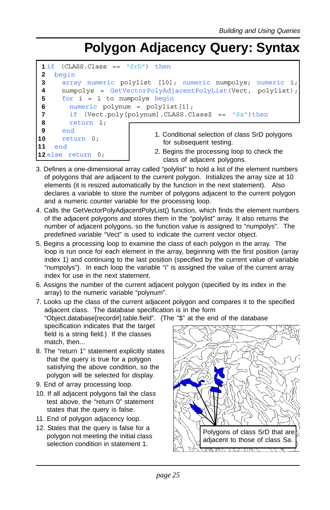### **Polygon Adjacency Query: Syntax**

```
1
2
3
 4
 5
6
7
8
9
10
11
12
else return 0;
     (CLASS.Class = "Srb") thenbegin
      array numeric polylist [10]; numeric numpolys; numeric i;
      numpolys = GetVectorPolyAdjacentPolyList(Vect, polylist);
      for i = 1 to numpolys begin
        numeric polynum = polylist[i];
        if (Vect.poly[polynum].CLASS.Class$ == "Sa")then
        return 1;
      end
      return 0;
    end
                               1. Conditional selection of class SrD polygons
                                 for subsequent testing.
                               2. Begins the processing loop to check the
                                 class of adjacent polygons.
```
- 3. Defines a one-dimensional array called "polylist" to hold a list of the element numbers of polygons that are adjacent to the current polygon. Initializes the array size at 10 elements (it is resized automatically by the function in the next statement). Also declares a variable to store the number of polygons adjacent to the current polygon and a numeric counter variable for the processing loop.
- 4. Calls the GetVectorPolyAdjacentPolyList() function, which finds the element numbers of the adjacent polygons and stores them in the "polylist" array. It also returns the number of adjacent polygons, so the function value is assigned to "numpolys". The predefined variable "Vect" is used to indicate the current vector object.
- 5. Begins a processing loop to examine the class of each polygon in the array. The loop is run once for each element in the array, beginning with the first position (array index 1) and continuing to the last position (specified by the current value of variable "numpolys"). In each loop the variable "i" is assigned the value of the current array index for use in the next statement.
- 6. Assigns the number of the current adjacent polygon (specified by its index in the array) to the numeric variable "polynum".
- 7. Looks up the class of the current adjacent polygon and compares it to the specified adjacent class. The database specification is in the form "Object.database[record#].table.field". (The "\$" at the end of the database specification indicates that the target field is a string field.) If the classes match, then...
- 8. The "return 1" statement explicitly states that the query is true for a polygon satisfying the above condition, so the polygon will be selected for display.
- 9. End of array processing loop.
- 10. If all adjacent polygons fail the class test above, the "return 0" statement states that the query is false.
- 11. End of polygon adjacency loop.
- 12. States that the query is false for a polygon not meeting the initial class selection condition in statement 1.

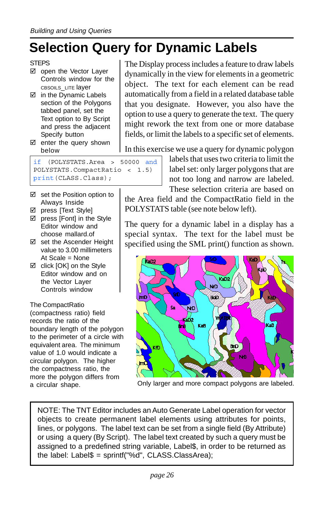## **Selection Query for Dynamic Labels**

- $\boxtimes$  open the Vector Laver Controls window for the CBSOILS\_LITE layer
- $\boxtimes$  in the Dynamic Labels section of the Polygons tabbed panel, set the Text option to By Script and press the adjacent Specify button
- $\boxtimes$  enter the query shown below

if (POLYSTATS.Area > 50000 and POLYSTATS.CompactRatio < 1.5) print(CLASS.Class);

- $\boxtimes$  set the Position option to Always Inside
- □ press [Text Style]
- $\boxtimes$  press [Font] in the Style Editor window and choose mallard.of
- □ set the Ascender Height value to 3.00 millimeters At Scale = None
- ⊠ click [OK] on the Style Editor window and on the Vector Layer Controls window

The CompactRatio (compactness ratio) field records the ratio of the boundary length of the polygon to the perimeter of a circle with equivalent area. The minimum value of 1.0 would indicate a circular polygon. The higher the compactness ratio, the more the polygon differs from

The Display process includes a feature to draw labels dynamically in the view for elements in a geometric object. The text for each element can be read automatically from a field in a related database table that you designate. However, you also have the option to use a query to generate the text. The query might rework the text from one or more database fields, or limit the labels to a specific set of elements.

In this exercise we use a query for dynamic polygon

labels that uses two criteria to limit the label set: only larger polygons that are not too long and narrow are labeled. These selection criteria are based on

the Area field and the CompactRatio field in the POLYSTATS table (see note below left).

The query for a dynamic label in a display has a special syntax. The text for the label must be specified using the SML print() function as shown.



a circular shape. Only larger and more compact polygons are labeled.

NOTE: The TNT Editor includes an Auto Generate Label operation for vector objects to create permanent label elements using attributes for points, lines, or polygons. The label text can be set from a single field (By Attribute) or using a query (By Script). The label text created by such a query must be assigned to a predefined string variable, Label\$, in order to be returned as the label: Label\$ = sprintf("%d", CLASS.ClassArea);

**STEPS**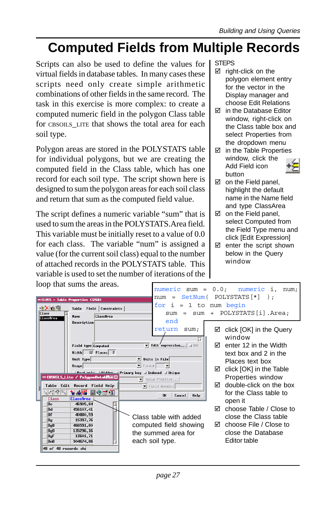### **Computed Fields from Multiple Records**

Scripts can also be used to define the values for virtual fields in database tables. In many cases these scripts need only create simple arithmetic combinations of other fields in the same record. The task in this exercise is more complex: to create a computed numeric field in the polygon Class table for CBSOILS\_LITE that shows the total area for each soil type.

Polygon areas are stored in the POLYSTATS table for individual polygons, but we are creating the computed field in the Class table, which has one record for each soil type. The script shown here is designed to sum the polygon areas for each soil class and return that sum as the computed field value.

The script defines a numeric variable "sum" that is used to sum the areas in the POLYSTATS.Area field. This variable must be initially reset to a value of 0.0 for each class. The variable "num" is assigned a value (for the current soil class) equal to the number of attached records in the POLYSTATS table. This variable is used to set the number of iterations of the STEPS

- $\boxtimes$  right-click on the polygon element entry for the vector in the Display manager and choose Edit Relations
- $⊓$  in the Database Editor window, right-click on the Class table box and select Properties from the dropdown menu
- $\boxtimes$  in the Table Properties window, click the Add Field icon button



- $\boxtimes$  on the Field panel, highlight the default name in the Name field and type ClassArea
- $\boxtimes$  on the Field panel. select Computed from the Field Type menu and click [Edit Expression]
- $\boxtimes$  enter the script shown below in the Query window

| loop that sums the areas.                                                                                                                                                                                                                                                                                                                                                                                               |                                                                                                                                                                                                                                                                                                                                                                                                                | numeric sum = $0.0$ ; numeric i,<br>num:                                                                                                                                                                                                                                                                                                                                        |
|-------------------------------------------------------------------------------------------------------------------------------------------------------------------------------------------------------------------------------------------------------------------------------------------------------------------------------------------------------------------------------------------------------------------------|----------------------------------------------------------------------------------------------------------------------------------------------------------------------------------------------------------------------------------------------------------------------------------------------------------------------------------------------------------------------------------------------------------------|---------------------------------------------------------------------------------------------------------------------------------------------------------------------------------------------------------------------------------------------------------------------------------------------------------------------------------------------------------------------------------|
| <b>ECLASS - Table Properties (3268)</b><br>+2X 순택<br>Field Constraints<br>Table<br>Class<br>Classfirea<br><b>Nane</b><br>ClassArea                                                                                                                                                                                                                                                                                      | num<br>$=$<br>for<br>i.<br>$=$<br>S11m<br>S11m<br>$=$                                                                                                                                                                                                                                                                                                                                                          | $SetNum(POLYSTATS[*] )$ :<br>1 to num begin<br>POLYSTATS[i].Area;<br>$+$                                                                                                                                                                                                                                                                                                        |
| Description<br>Field type Conputed<br>Width 12 Places 2<br>Unit Type<br>Usage<br>□ CBSOTLS_Lite / PolygonDatabe回区<br>Table Edit Record Field Help<br>$1_k \mathcal{N}_k \mathcal{R} Z_k $<br>有神精 国俗風圖<br>Classfirea<br>Class<br>46905.84<br>囜<br>⊪c<br>lBd.<br>456107.41<br>∣Bf<br>40880.59<br>15397.76<br>∥Bg<br>BgB<br>466591.80<br> BgD<br>135296.16<br>13601.71<br>BgF<br>⊪RnB<br>904674.86<br>48 of 48 records she | end<br>return<br>sum:<br>ы<br>$\blacktriangledown$ Edit expression $\sqcup$ UTC<br>$\blacktriangledown$ Units In File<br>$\blacktriangleright$ Format<br>$\vert \mathbf{v} \vert$<br>If Read only If Hidden I Primary key I Indexed I Unique<br>V Setup Picklist<br>Field donain:<br><b>nk</b><br>Cancel<br>Help<br>Class table with added<br>computed field showing<br>the summed area for<br>each soil type. | click [OK] in the Query<br>☑<br>window<br>enter 12 in the Width<br>罓<br>text box and 2 in the<br>Places text box<br>click [OK] in the Table<br>☑<br>Properties window<br>double-click on the box<br>罓<br>for the Class table to<br>open it<br>choose Table / Close to<br>罓<br>close the Class table<br>$\boxtimes$ choose File / Close to<br>close the Database<br>Editor table |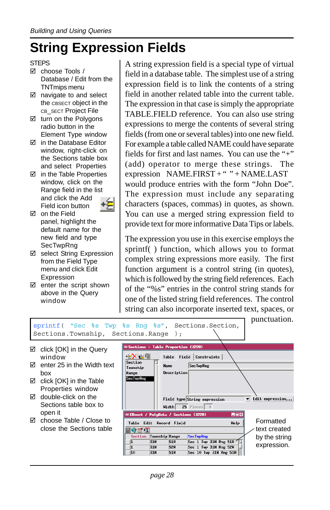### **String Expression Fields**

### **STEPS**

- $\boxtimes$  choose Tools / Database / Edit from the TNTmips menu
- $\boxtimes$  navigate to and select the CBSECT object in the CB\_SECT Project File
- $\boxtimes$  turn on the Polygons radio button in the Element Type window
- $\boxtimes$  in the Database Editor window, right-click on the Sections table box and select Properties
- $\boxtimes$  in the Table Properties window, click on the Range field in the list and click the Add Field icon button



- $\boxtimes$  on the Field panel, highlight the default name for the new field and type **SecTwpRng**
- $\boxtimes$  select String Expression from the Field Type menu and click Edit Expression
- $\boxtimes$  enter the script shown above in the Query window

A string expression field is a special type of virtual field in a database table. The simplest use of a string expression field is to link the contents of a string field in another related table into the current table. The expression in that case is simply the appropriate TABLE.FIELD reference. You can also use string expressions to merge the contents of several string fields (from one or several tables) into one new field. For example a table called NAME could have separate fields for first and last names. You can use the "+" (add) operator to merge these strings. The expression NAME.FIRST + " " + NAME.LAST would produce entries with the form "John Doe". The expression must include any separating characters (spaces, commas) in quotes, as shown. You can use a merged string expression field to provide text for more informative Data Tips or labels.

The expression you use in this exercise employs the sprintf( ) function, which allows you to format complex string expressions more easily. The first function argument is a control string (in quotes), which is followed by the string field references. Each of the "%s" entries in the control string stands for one of the listed string field references. The control string can also incorporate inserted text, spaces, or

punctuation. sprintf( "Sec %s Twp %s Rng %s", Sections.Section, Sections.Township, Sections.Range ); Sections - Table Properties (3228)  $\boxtimes$  click [OK] in the Query <u> 성<mark>メ</mark> 수</u> window Table Field Constraints Section  $\boxtimes$  enter 25 in the Width text **Nane SecTupRng** Township box Description **SecTupRng**  $\boxtimes$  click [OK] in the Table Properties window  $\boxtimes$  double-click on the Field type String expression  $\overline{\bullet}$  Edit expression... Sections table box to  $\overline{\text{Width}}$  25 Places  $\boxed{0}$ open it **Example 15 PolyData / Sections (3228)** EDX ⊠ choose Table / Close to Formatted Table Edit Record Field Help close the Sections table H⊗e\*d text created SecTupRng Section Township Range by the string  $\sqrt{1}$  $31N$  $51H$ Sec 1 Tup 31N Rng 51H expression. $\overline{\mathbf{1}}$ 31N 52H Sec 1 Tup 31N Rng 52H  $\overline{\mathbb{10}}$ 31N 51H Sec 10 Tup 31N Rng 51H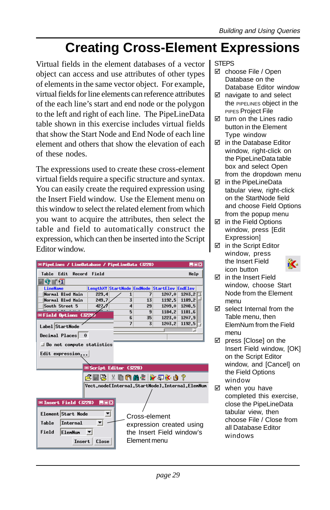### **Creating Cross-Element Expressions**

Virtual fields in the element databases of a vector object can access and use attributes of other types of elements in the same vector object. For example, virtual fields for line elements can reference attributes of the each line's start and end node or the polygon to the left and right of each line. The PipeLineData table shown in this exercise includes virtual fields that show the Start Node and End Node of each line element and others that show the elevation of each of these nodes.

The expressions used to create these cross-element virtual fields require a specific structure and syntax. You can easily create the required expression using the Insert Field window. Use the Element menu on this window to select the related element from which you want to acquire the attributes, then select the table and field to automatically construct the expression, which can then be inserted into the Script Editor window.

| <b>HOX</b><br><b>■PipeLines / LineDatabase / PipeLineData (3228)</b> |                |                         |                       |                                              |        |  |
|----------------------------------------------------------------------|----------------|-------------------------|-----------------------|----------------------------------------------|--------|--|
| Table Edit                                                           | Record Field   |                         |                       |                                              | Help   |  |
| 10 T I                                                               |                |                         |                       |                                              |        |  |
| <b>LineNane</b>                                                      |                |                         |                       | LengthXY StartNode EndNode StartElev EndElev |        |  |
| Normal Blvd Main                                                     | 229.4          | 1                       | 7                     | 1207.0                                       | 1203.2 |  |
| Normal Blyd Main                                                     | 249.7          | $\overline{\mathbf{3}}$ | 13                    | 1192.5                                       | 1189.2 |  |
| South Street 5                                                       | 427            | $\overline{4}$          | 29                    | 1209.0                                       | 1208.5 |  |
| EField Options (3228)                                                | $\frac{1}{20}$ | 5                       | $\overline{9}$        | 1184.2                                       | 1181.6 |  |
|                                                                      |                | $\overline{6}$          | 35                    | 1223.0                                       | 1207.9 |  |
| Label StartNode                                                      |                | 7                       | 3                     | 1203.2                                       | 1192.5 |  |
| $\bf{0}$                                                             |                |                         |                       |                                              |        |  |
| Decinal Places                                                       |                |                         |                       |                                              |        |  |
| $\Box$ Do not compute statistics                                     |                |                         |                       |                                              |        |  |
| Edit expression                                                      |                |                         |                       |                                              |        |  |
|                                                                      |                |                         |                       |                                              |        |  |
|                                                                      |                |                         |                       |                                              |        |  |
| Script Editor (3228)                                                 |                |                         |                       |                                              |        |  |
|                                                                      |                |                         | 6 TRIX DAME Y 5 X 0 ? |                                              |        |  |
| Vect.node[Internal.StartNode].Internal.ElemNum                       |                |                         |                       |                                              |        |  |
|                                                                      |                |                         |                       |                                              |        |  |
|                                                                      |                |                         |                       |                                              |        |  |
| □ Insert Field (3228) 目目図                                            |                |                         |                       |                                              |        |  |
|                                                                      |                |                         |                       |                                              |        |  |
| Element Start Node                                                   | 회              |                         | Cross-element         |                                              |        |  |
| Internal<br>Table<br>회                                               |                |                         |                       |                                              |        |  |
|                                                                      |                |                         |                       | expression created using                     |        |  |
| Field<br><b>ElenNun</b><br>◥                                         |                |                         |                       | the Insert Field window's                    |        |  |
| Insert                                                               | Close          |                         | Flement menu          |                                              |        |  |
|                                                                      |                |                         |                       |                                              |        |  |

### **STEPS**

- ⊠ choose File / Open Database on the Database Editor window
- $\boxtimes$  navigate to and select the PIPELINES object in the PIPES Project File
- $\boxtimes$  turn on the Lines radio button in the Element Type window
- $\boxtimes$  in the Database Editor window, right-click on the PipeLineData table box and select Open from the dropdown menu
- □ in the PipeLineData tabular view, right-click on the StartNode field and choose Field Options from the popup menu
- $\boxtimes$  in the Field Options window, press [Edit **Expression1**
- $\boxtimes$  in the Script Editor window, press the Insert Field icon button



- $\boxtimes$  in the Insert Field window, choose Start Node from the Element menu
- $\boxtimes$  select Internal from the Table menu, then ElemNum from the Field menu
- $\boxtimes$  press [Close] on the Insert Field window, [OK] on the Script Editor window, and [Cancel] on the Field Options window
- $\boxtimes$  when you have completed this exercise, close the PipeLineData tabular view, then choose File / Close from all Database Editor windows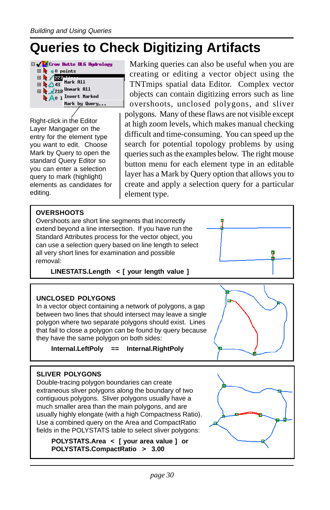## **Queries to Check Digitizing Artifacts**



Right-click in the Editor Layer Mangager on the entry for the element type you want to edit. Choose Mark by Query to open the standard Query Editor so you can enter a selection query to mark (highlight) elements as candidates for editing.

Marking queries can also be useful when you are creating or editing a vector object using the TNTmips spatial data Editor. Complex vector objects can contain digitizing errors such as line overshoots, unclosed polygons, and sliver polygons. Many of these flaws are not visible except at high zoom levels, which makes manual checking difficult and time-consuming. You can speed up the search for potential topology problems by using queries such as the examples below. The right mouse button menu for each element type in an editable layer has a Mark by Query option that allows you to create and apply a selection query for a particular element type.

### **OVERSHOOTS**

Overshoots are short line segments that incorrectly extend beyond a line intersection. If you have run the Standard Attributes process for the vector object, you can use a selection query based on line length to select all very short lines for examination and possible removal:

**LINESTATS.Length < [ your length value ]**

#### **UNCLOSED POLYGONS**

In a vector object containing a network of polygons, a gap between two lines that should intersect may leave a single polygon where two separate polygons should exist. Lines that fail to close a polygon can be found by query because they have the same polygon on both sides:

**Internal.LeftPoly == Internal.RightPoly**



### **SLIVER POLYGONS**

Double-tracing polygon boundaries can create extraneous sliver polygons along the boundary of two contiguous polygons. Sliver polygons usually have a much smaller area than the main polygons, and are usually highly elongate (with a high Compactness Ratio). Use a combined query on the Area and CompactRatio fields in the POLYSTATS table to select sliver polygons:

**POLYSTATS.Area < [ your area value ] or POLYSTATS.CompactRatio > 3.00**



œ,

ы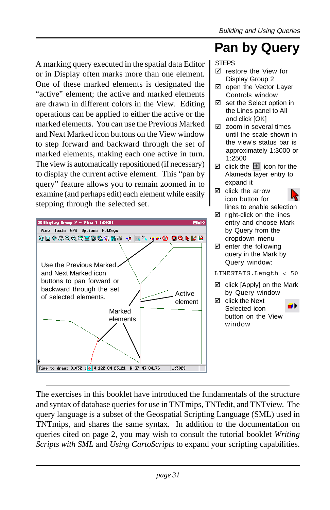### **Pan by Query**

A marking query executed in the spatial data Editor or in Display often marks more than one element. One of these marked elements is designated the "active" element; the active and marked elements are drawn in different colors in the View. Editing operations can be applied to either the active or the marked elements. You can use the Previous Marked and Next Marked icon buttons on the View window to step forward and backward through the set of marked elements, making each one active in turn. The view is automatically repositioned (if necessary) to display the current active element. This "pan by query" feature allows you to remain zoomed in to examine (and perhaps edit) each element while easily stepping through the selected set.



### STEPS

- $\boxtimes$  restore the View for Display Group 2
- $\boxtimes$  open the Vector Layer Controls window
- $\boxtimes$  set the Select option in the Lines panel to All and click [OK]
- $\boxtimes$  zoom in several times until the scale shown in the view's status bar is approximately 1:3000 or 1:2500
- $\boxtimes$  click the  $\boxplus$  icon for the Alameda layer entry to expand it
- $\boxtimes$  click the arrow icon button for lines to enable selection
- $\boxtimes$  right-click on the lines entry and choose Mark by Query from the dropdown menu
- $\boxtimes$  enter the following query in the Mark by Query window:

#### LINESTATS.Length < 50

- □ click [Apply] on the Mark by Query window
- $\boxtimes$  click the Next a۱ Selected icon button on the View window

The exercises in this booklet have introduced the fundamentals of the structure and syntax of database queries for use in TNTmips, TNTedit, and TNTview. The query language is a subset of the Geospatial Scripting Language (SML) used in TNTmips, and shares the same syntax. In addition to the documentation on queries cited on page 2, you may wish to consult the tutorial booklet *Writing Scripts with SML* and *Using CartoScripts* to expand your scripting capabilities.